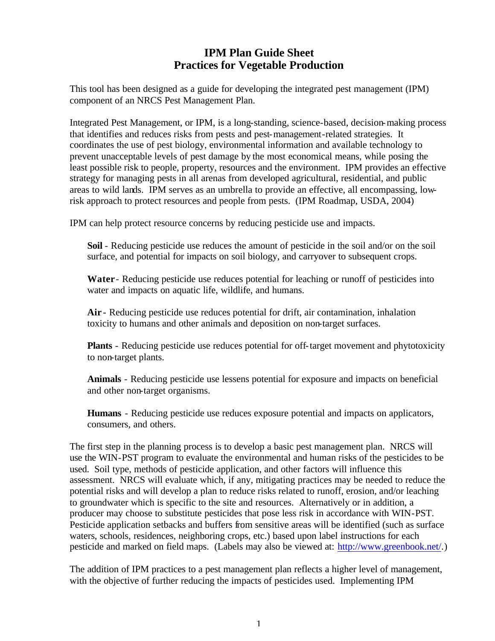## **IPM Plan Guide Sheet Practices for Vegetable Production**

This tool has been designed as a guide for developing the integrated pest management (IPM) component of an NRCS Pest Management Plan.

Integrated Pest Management, or IPM, is a long-standing, science-based, decision-making process that identifies and reduces risks from pests and pest-management-related strategies. It coordinates the use of pest biology, environmental information and available technology to prevent unacceptable levels of pest damage by the most economical means, while posing the least possible risk to people, property, resources and the environment. IPM provides an effective strategy for managing pests in all arenas from developed agricultural, residential, and public areas to wild lands. IPM serves as an umbrella to provide an effective, all encompassing, lowrisk approach to protect resources and people from pests. (IPM Roadmap, USDA, 2004)

IPM can help protect resource concerns by reducing pesticide use and impacts.

**Soil** - Reducing pesticide use reduces the amount of pesticide in the soil and/or on the soil surface, and potential for impacts on soil biology, and carryover to subsequent crops.

**Water**- Reducing pesticide use reduces potential for leaching or runoff of pesticides into water and impacts on aquatic life, wildlife, and humans.

**Air** - Reducing pesticide use reduces potential for drift, air contamination, inhalation toxicity to humans and other animals and deposition on non-target surfaces.

**Plants** - Reducing pesticide use reduces potential for off-target movement and phytotoxicity to non-target plants.

**Animals** - Reducing pesticide use lessens potential for exposure and impacts on beneficial and other non-target organisms.

**Humans** - Reducing pesticide use reduces exposure potential and impacts on applicators, consumers, and others.

The first step in the planning process is to develop a basic pest management plan. NRCS will use the WIN-PST program to evaluate the environmental and human risks of the pesticides to be used. Soil type, methods of pesticide application, and other factors will influence this assessment. NRCS will evaluate which, if any, mitigating practices may be needed to reduce the potential risks and will develop a plan to reduce risks related to runoff, erosion, and/or leaching to groundwater which is specific to the site and resources. Alternatively or in addition, a producer may choose to substitute pesticides that pose less risk in accordance with WIN-PST. Pesticide application setbacks and buffers from sensitive areas will be identified (such as surface waters, schools, residences, neighboring crops, etc.) based upon label instructions for each pesticide and marked on field maps. (Labels may also be viewed at: http://www.greenbook.net/.)

The addition of IPM practices to a pest management plan reflects a higher level of management, with the objective of further reducing the impacts of pesticides used. Implementing IPM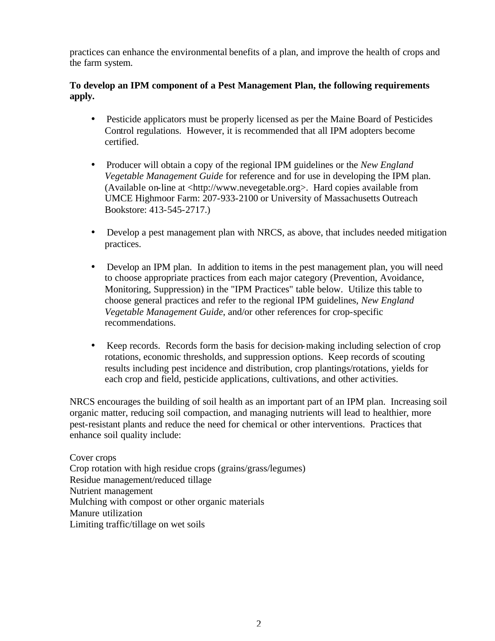practices can enhance the environmental benefits of a plan, and improve the health of crops and the farm system.

### **To develop an IPM component of a Pest Management Plan, the following requirements apply.**

- Pesticide applicators must be properly licensed as per the Maine Board of Pesticides Control regulations. However, it is recommended that all IPM adopters become certified.
- Producer will obtain a copy of the regional IPM guidelines or the *New England Vegetable Management Guide* for reference and for use in developing the IPM plan. (Available on-line at <http://www.nevegetable.org>. Hard copies available from UMCE Highmoor Farm: 207-933-2100 or University of Massachusetts Outreach Bookstore: 413-545-2717.)
- Develop a pest management plan with NRCS, as above, that includes needed mitigation practices.
- Develop an IPM plan. In addition to items in the pest management plan, you will need to choose appropriate practices from each major category (Prevention, Avoidance, Monitoring, Suppression) in the "IPM Practices" table below. Utilize this table to choose general practices and refer to the regional IPM guidelines, *New England Vegetable Management Guide*, and/or other references for crop-specific recommendations.
- Keep records. Records form the basis for decision-making including selection of crop rotations, economic thresholds, and suppression options. Keep records of scouting results including pest incidence and distribution, crop plantings/rotations, yields for each crop and field, pesticide applications, cultivations, and other activities.

NRCS encourages the building of soil health as an important part of an IPM plan. Increasing soil organic matter, reducing soil compaction, and managing nutrients will lead to healthier, more pest-resistant plants and reduce the need for chemical or other interventions. Practices that enhance soil quality include:

Cover crops Crop rotation with high residue crops (grains/grass/legumes) Residue management/reduced tillage Nutrient management Mulching with compost or other organic materials Manure utilization Limiting traffic/tillage on wet soils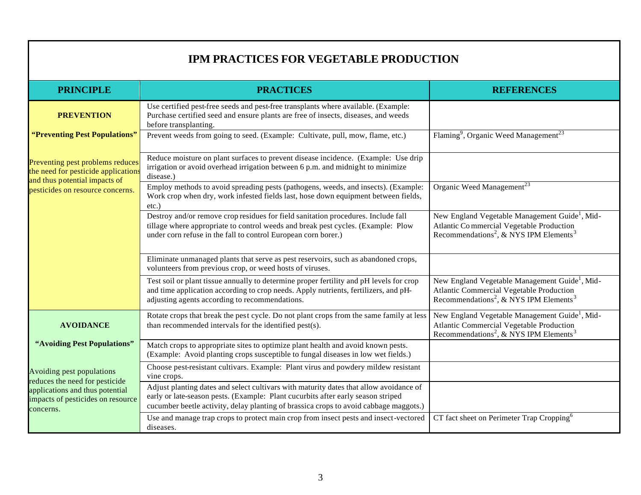# **IPM PRACTICES FOR VEGETABLE PRODUCTION**

| <b>PRINCIPLE</b>                                                                                                                                 | <b>PRACTICES</b>                                                                                                                                                                                                                                                    | <b>REFERENCES</b>                                                                                                                                                        |  |  |
|--------------------------------------------------------------------------------------------------------------------------------------------------|---------------------------------------------------------------------------------------------------------------------------------------------------------------------------------------------------------------------------------------------------------------------|--------------------------------------------------------------------------------------------------------------------------------------------------------------------------|--|--|
| <b>PREVENTION</b>                                                                                                                                | Use certified pest-free seeds and pest-free transplants where available. (Example:<br>Purchase certified seed and ensure plants are free of insects, diseases, and weeds<br>before transplanting.                                                                   |                                                                                                                                                                          |  |  |
| "Preventing Pest Populations"                                                                                                                    | Prevent weeds from going to seed. (Example: Cultivate, pull, mow, flame, etc.)                                                                                                                                                                                      | Flaming <sup>9</sup> , Organic Weed Management <sup>23</sup>                                                                                                             |  |  |
| Preventing pest problems reduces<br>the need for pesticide application<br>and thus potential impacts of<br>pesticides on resource concerns.      | Reduce moisture on plant surfaces to prevent disease incidence. (Example: Use drip<br>irrigation or avoid overhead irrigation between 6 p.m. and midnight to minimize<br>disease.)                                                                                  |                                                                                                                                                                          |  |  |
|                                                                                                                                                  | Employ methods to avoid spreading pests (pathogens, weeds, and insects). (Example:<br>Work crop when dry, work infested fields last, hose down equipment between fields,<br>$etc.$ )                                                                                | Organic Weed Management <sup>23</sup>                                                                                                                                    |  |  |
|                                                                                                                                                  | Destroy and/or remove crop residues for field sanitation procedures. Include fall<br>tillage where appropriate to control weeds and break pest cycles. (Example: Plow<br>under corn refuse in the fall to control European corn borer.)                             | New England Vegetable Management Guide <sup>1</sup> , Mid-<br>Atlantic Commercial Vegetable Production<br>Recommendations <sup>2</sup> , & NYS IPM Elements <sup>3</sup> |  |  |
|                                                                                                                                                  | Eliminate unmanaged plants that serve as pest reservoirs, such as abandoned crops,<br>volunteers from previous crop, or weed hosts of viruses.                                                                                                                      |                                                                                                                                                                          |  |  |
|                                                                                                                                                  | Test soil or plant tissue annually to determine proper fertility and pH levels for crop<br>and time application according to crop needs. Apply nutrients, fertilizers, and pH-<br>adjusting agents according to recommendations.                                    | New England Vegetable Management Guide <sup>1</sup> , Mid-<br>Atlantic Commercial Vegetable Production<br>Recommendations <sup>2</sup> , & NYS IPM Elements <sup>3</sup> |  |  |
| <b>AVOIDANCE</b>                                                                                                                                 | Rotate crops that break the pest cycle. Do not plant crops from the same family at less<br>than recommended intervals for the identified pest(s).                                                                                                                   | New England Vegetable Management Guide <sup>1</sup> , Mid-<br>Atlantic Commercial Vegetable Production<br>Recommendations <sup>2</sup> , & NYS IPM Elements <sup>3</sup> |  |  |
| "Avoiding Pest Populations"                                                                                                                      | Match crops to appropriate sites to optimize plant health and avoid known pests.<br>(Example: Avoid planting crops susceptible to fungal diseases in low wet fields.)                                                                                               |                                                                                                                                                                          |  |  |
| Avoiding pest populations<br>reduces the need for pesticide<br>applications and thus potential<br>impacts of pesticides on resource<br>concerns. | Choose pest-resistant cultivars. Example: Plant virus and powdery mildew resistant<br>vine crops.                                                                                                                                                                   |                                                                                                                                                                          |  |  |
|                                                                                                                                                  | Adjust planting dates and select cultivars with maturity dates that allow avoidance of<br>early or late-season pests. (Example: Plant cucurbits after early season striped<br>cucumber beetle activity, delay planting of brassica crops to avoid cabbage maggots.) |                                                                                                                                                                          |  |  |
|                                                                                                                                                  | Use and manage trap crops to protect main crop from insect pests and insect-vectored<br>diseases.                                                                                                                                                                   | CT fact sheet on Perimeter Trap Cropping <sup>6</sup>                                                                                                                    |  |  |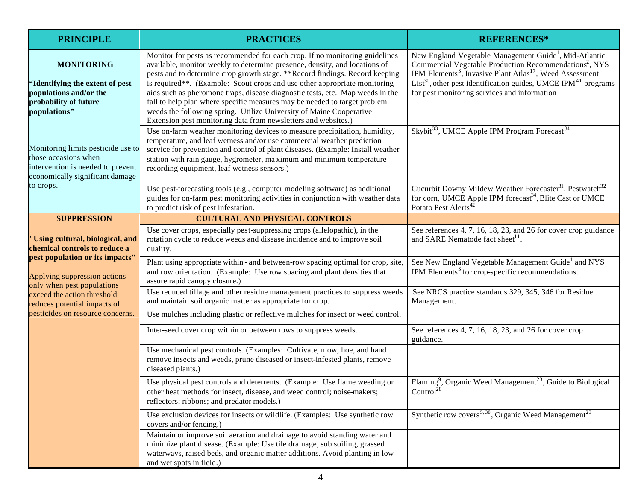| <b>PRINCIPLE</b>                                                                                                                     | <b>PRACTICES</b>                                                                                                                                                                                                                                                                                                                                                                                                                                                                                                                                                                                                              | <b>REFERENCES*</b>                                                                                                                                                                                                                                                                                                                                              |
|--------------------------------------------------------------------------------------------------------------------------------------|-------------------------------------------------------------------------------------------------------------------------------------------------------------------------------------------------------------------------------------------------------------------------------------------------------------------------------------------------------------------------------------------------------------------------------------------------------------------------------------------------------------------------------------------------------------------------------------------------------------------------------|-----------------------------------------------------------------------------------------------------------------------------------------------------------------------------------------------------------------------------------------------------------------------------------------------------------------------------------------------------------------|
| <b>MONITORING</b><br>"Identifying the extent of pest<br>populations and/or the<br>probability of future<br>populations"              | Monitor for pests as recommended for each crop. If no monitoring guidelines<br>available, monitor weekly to determine presence, density, and locations of<br>pests and to determine crop growth stage. ** Record findings. Record keeping<br>is required**. (Example: Scout crops and use other appropriate monitoring<br>aids such as pheromone traps, disease diagnostic tests, etc. Map weeds in the<br>fall to help plan where specific measures may be needed to target problem<br>weeds the following spring. Utilize University of Maine Cooperative<br>Extension pest monitoring data from newsletters and websites.) | New England Vegetable Management Guide <sup>1</sup> , Mid-Atlantic<br>Commercial Vegetable Production Recommendations <sup>2</sup> , NYS<br>IPM Elements <sup>3</sup> , Invasive Plant Atlas <sup>17</sup> , Weed Assessment<br>$List^{30}$ , other pest identification guides, UMCE IPM <sup>41</sup> programs<br>for pest monitoring services and information |
| Monitoring limits pesticide use to<br>those occasions when<br>intervention is needed to prevent<br>economically significant damage   | Use on-farm weather monitoring devices to measure precipitation, humidity,<br>temperature, and leaf wetness and/or use commercial weather prediction<br>service for prevention and control of plant diseases. (Example: Install weather<br>station with rain gauge, hygrometer, ma ximum and minimum temperature<br>recording equipment, leaf wetness sensors.)                                                                                                                                                                                                                                                               | Skybit <sup>33</sup> , UMCE Apple IPM Program Forecast <sup>34</sup>                                                                                                                                                                                                                                                                                            |
| to crops.                                                                                                                            | Use pest-forecasting tools (e.g., computer modeling software) as additional<br>guides for on-farm pest monitoring activities in conjunction with weather data<br>to predict risk of pest infestation.                                                                                                                                                                                                                                                                                                                                                                                                                         | Cucurbit Downy Mildew Weather Forecaster <sup>31</sup> , Pestwatch <sup>32</sup><br>for corn, UMCE Apple IPM forecast <sup>34</sup> , Blite Cast or UMCE<br>Potato Pest Alerts <sup>4</sup>                                                                                                                                                                     |
| <b>SUPPRESSION</b>                                                                                                                   | <b>CULTURAL AND PHYSICAL CONTROLS</b>                                                                                                                                                                                                                                                                                                                                                                                                                                                                                                                                                                                         |                                                                                                                                                                                                                                                                                                                                                                 |
| 'Using cultural, biological, and<br>chemical controls to reduce a<br>pest population or its impacts"<br>Applying suppression actions | Use cover crops, especially pest-suppressing crops (allelopathic), in the<br>rotation cycle to reduce weeds and disease incidence and to improve soil<br>quality.                                                                                                                                                                                                                                                                                                                                                                                                                                                             | See references 4, 7, 16, 18, 23, and 26 for cover crop guidance<br>and SARE Nematode fact sheet <sup>11</sup> .                                                                                                                                                                                                                                                 |
|                                                                                                                                      | Plant using appropriate within - and between-row spacing optimal for crop, site,<br>and row orientation. (Example: Use row spacing and plant densities that<br>assure rapid canopy closure.)                                                                                                                                                                                                                                                                                                                                                                                                                                  | See New England Vegetable Management Guide <sup>1</sup> and NYS<br>IPM Elements <sup>3</sup> for crop-specific recommendations.                                                                                                                                                                                                                                 |
| only when pest populations<br>exceed the action threshold<br>reduces potential impacts of                                            | Use reduced tillage and other residue management practices to suppress weeds<br>and maintain soil organic matter as appropriate for crop.                                                                                                                                                                                                                                                                                                                                                                                                                                                                                     | See NRCS practice standards 329, 345, 346 for Residue<br>Management.                                                                                                                                                                                                                                                                                            |
| pesticides on resource concerns.                                                                                                     | Use mulches including plastic or reflective mulches for insect or weed control.                                                                                                                                                                                                                                                                                                                                                                                                                                                                                                                                               |                                                                                                                                                                                                                                                                                                                                                                 |
|                                                                                                                                      | Inter-seed cover crop within or between rows to suppress weeds.                                                                                                                                                                                                                                                                                                                                                                                                                                                                                                                                                               | See references 4, 7, 16, 18, 23, and 26 for cover crop<br>guidance.                                                                                                                                                                                                                                                                                             |
|                                                                                                                                      | Use mechanical pest controls. (Examples: Cultivate, mow, hoe, and hand<br>remove insects and weeds, prune diseased or insect-infested plants, remove<br>diseased plants.)                                                                                                                                                                                                                                                                                                                                                                                                                                                     |                                                                                                                                                                                                                                                                                                                                                                 |
|                                                                                                                                      | Use physical pest controls and deterrents. (Example: Use flame weeding or<br>other heat methods for insect, disease, and weed control; noise-makers;<br>reflectors; ribbons; and predator models.)                                                                                                                                                                                                                                                                                                                                                                                                                            | Flaming <sup>9</sup> , Organic Weed Management <sup>23</sup> , Guide to Biological<br>Control <sup>28</sup>                                                                                                                                                                                                                                                     |
|                                                                                                                                      | Use exclusion devices for insects or wildlife. (Examples: Use synthetic row<br>covers and/or fencing.)                                                                                                                                                                                                                                                                                                                                                                                                                                                                                                                        | Synthetic row covers <sup>5,38</sup> , Organic Weed Management <sup>23</sup>                                                                                                                                                                                                                                                                                    |
|                                                                                                                                      | Maintain or improve soil aeration and drainage to avoid standing water and<br>minimize plant disease. (Example: Use tile drainage, sub soiling, grassed<br>waterways, raised beds, and organic matter additions. Avoid planting in low<br>and wet spots in field.)                                                                                                                                                                                                                                                                                                                                                            |                                                                                                                                                                                                                                                                                                                                                                 |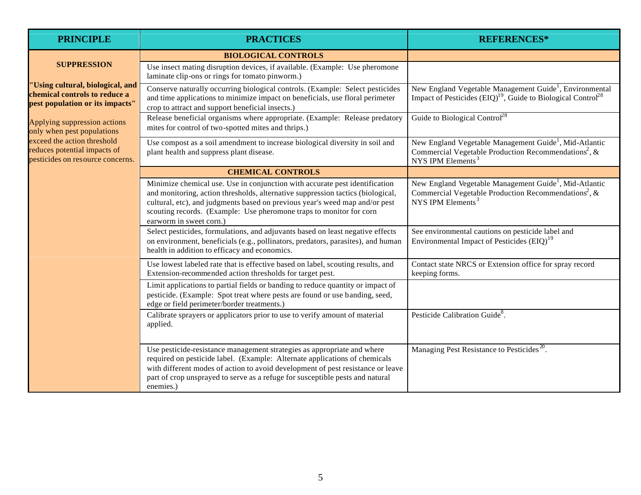| <b>PRINCIPLE</b>                                                                                     | <b>PRACTICES</b>                                                                                                                                                                                                                                                                                                                                | <b>REFERENCES*</b>                                                                                                                                                      |
|------------------------------------------------------------------------------------------------------|-------------------------------------------------------------------------------------------------------------------------------------------------------------------------------------------------------------------------------------------------------------------------------------------------------------------------------------------------|-------------------------------------------------------------------------------------------------------------------------------------------------------------------------|
| <b>SUPPRESSION</b>                                                                                   | <b>BIOLOGICAL CONTROLS</b>                                                                                                                                                                                                                                                                                                                      |                                                                                                                                                                         |
|                                                                                                      | Use insect mating disruption devices, if available. (Example: Use pheromone<br>laminate clip-ons or rings for tomato pinworm.)                                                                                                                                                                                                                  |                                                                                                                                                                         |
| 'Using cultural, biological, and<br>chemical controls to reduce a<br>pest population or its impacts" | Conserve naturally occurring biological controls. (Example: Select pesticides<br>and time applications to minimize impact on beneficials, use floral perimeter<br>crop to attract and support beneficial insects.)                                                                                                                              | New England Vegetable Management Guide <sup>1</sup> , Environmental<br>Impact of Pesticides $(EIQ)^{19}$ , Guide to Biological Control <sup>28</sup>                    |
| Applying suppression actions<br>only when pest populations                                           | Release beneficial organisms where appropriate. (Example: Release predatory<br>mites for control of two-spotted mites and thrips.)                                                                                                                                                                                                              | Guide to Biological Control <sup>28</sup>                                                                                                                               |
| exceed the action threshold<br>reduces potential impacts of<br>pesticides on resource concerns.      | Use compost as a soil amendment to increase biological diversity in soil and<br>plant health and suppress plant disease.                                                                                                                                                                                                                        | New England Vegetable Management Guide <sup>1</sup> , Mid-Atlantic<br>Commercial Vegetable Production Recommendations <sup>2</sup> , &<br>NYS IPM Elements <sup>3</sup> |
|                                                                                                      | <b>CHEMICAL CONTROLS</b>                                                                                                                                                                                                                                                                                                                        |                                                                                                                                                                         |
|                                                                                                      | Minimize chemical use. Use in conjunction with accurate pest identification<br>and monitoring, action thresholds, alternative suppression tactics (biological,<br>cultural, etc), and judgments based on previous year's weed map and/or pest<br>scouting records. (Example: Use pheromone traps to monitor for corn<br>earworm in sweet corn.) | New England Vegetable Management Guide <sup>1</sup> , Mid-Atlantic<br>Commercial Vegetable Production Recommendations <sup>2</sup> , &<br>NYS IPM Elements <sup>3</sup> |
|                                                                                                      | Select pesticides, formulations, and adjuvants based on least negative effects<br>on environment, beneficials (e.g., pollinators, predators, parasites), and human<br>health in addition to efficacy and economics.                                                                                                                             | See environmental cautions on pesticide label and<br>Environmental Impact of Pesticides (EIQ) <sup>19</sup>                                                             |
|                                                                                                      | Use lowest labeled rate that is effective based on label, scouting results, and<br>Extension-recommended action thresholds for target pest.                                                                                                                                                                                                     | Contact state NRCS or Extension office for spray record<br>keeping forms.                                                                                               |
|                                                                                                      | Limit applications to partial fields or banding to reduce quantity or impact of<br>pesticide. (Example: Spot treat where pests are found or use banding, seed,<br>edge or field perimeter/border treatments.)                                                                                                                                   |                                                                                                                                                                         |
|                                                                                                      | Calibrate sprayers or applicators prior to use to verify amount of material<br>applied.                                                                                                                                                                                                                                                         | Pesticide Calibration Guide <sup>8</sup> .                                                                                                                              |
|                                                                                                      | Use pesticide-resistance management strategies as appropriate and where<br>required on pesticide label. (Example: Alternate applications of chemicals<br>with different modes of action to avoid development of pest resistance or leave<br>part of crop unsprayed to serve as a refuge for susceptible pests and natural<br>enemies.)          | Managing Pest Resistance to Pesticides <sup>20</sup> .                                                                                                                  |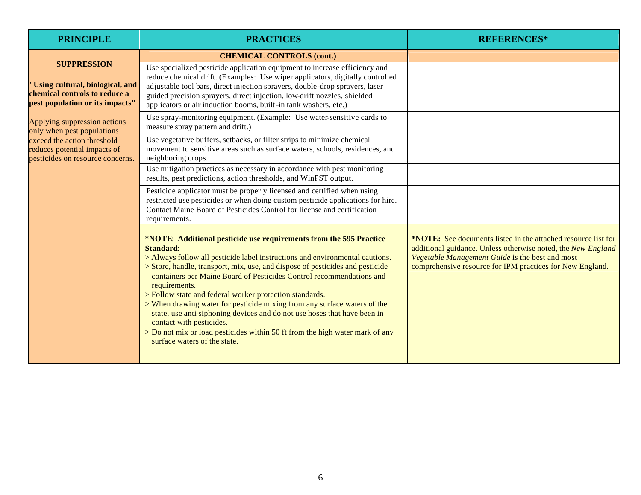| <b>PRINCIPLE</b>                                                                                                           | <b>PRACTICES</b>                                                                                                                                                                                                                                                                                                                                                                                                                                                                                                                                                                                                                                                                                                | <b>REFERENCES*</b>                                                                                                                                                                                                                            |
|----------------------------------------------------------------------------------------------------------------------------|-----------------------------------------------------------------------------------------------------------------------------------------------------------------------------------------------------------------------------------------------------------------------------------------------------------------------------------------------------------------------------------------------------------------------------------------------------------------------------------------------------------------------------------------------------------------------------------------------------------------------------------------------------------------------------------------------------------------|-----------------------------------------------------------------------------------------------------------------------------------------------------------------------------------------------------------------------------------------------|
|                                                                                                                            | <b>CHEMICAL CONTROLS (cont.)</b>                                                                                                                                                                                                                                                                                                                                                                                                                                                                                                                                                                                                                                                                                |                                                                                                                                                                                                                                               |
| <b>SUPPRESSION</b><br>'Using cultural, biological, and<br>chemical controls to reduce a<br>pest population or its impacts" | Use specialized pesticide application equipment to increase efficiency and<br>reduce chemical drift. (Examples: Use wiper applicators, digitally controlled<br>adjustable tool bars, direct injection sprayers, double-drop sprayers, laser<br>guided precision sprayers, direct injection, low-drift nozzles, shielded<br>applicators or air induction booms, built-in tank washers, etc.)                                                                                                                                                                                                                                                                                                                     |                                                                                                                                                                                                                                               |
| Applying suppression actions<br>only when pest populations                                                                 | Use spray-monitoring equipment. (Example: Use water-sensitive cards to<br>measure spray pattern and drift.)                                                                                                                                                                                                                                                                                                                                                                                                                                                                                                                                                                                                     |                                                                                                                                                                                                                                               |
| exceed the action threshold<br>reduces potential impacts of<br>pesticides on resource concerns.                            | Use vegetative buffers, setbacks, or filter strips to minimize chemical<br>movement to sensitive areas such as surface waters, schools, residences, and<br>neighboring crops.                                                                                                                                                                                                                                                                                                                                                                                                                                                                                                                                   |                                                                                                                                                                                                                                               |
|                                                                                                                            | Use mitigation practices as necessary in accordance with pest monitoring<br>results, pest predictions, action thresholds, and WinPST output.                                                                                                                                                                                                                                                                                                                                                                                                                                                                                                                                                                    |                                                                                                                                                                                                                                               |
|                                                                                                                            | Pesticide applicator must be properly licensed and certified when using<br>restricted use pesticides or when doing custom pesticide applications for hire.<br>Contact Maine Board of Pesticides Control for license and certification<br>requirements.                                                                                                                                                                                                                                                                                                                                                                                                                                                          |                                                                                                                                                                                                                                               |
|                                                                                                                            | *NOTE: Additional pesticide use requirements from the 595 Practice<br><b>Standard:</b><br>> Always follow all pesticide label instructions and environmental cautions.<br>> Store, handle, transport, mix, use, and dispose of pesticides and pesticide<br>containers per Maine Board of Pesticides Control recommendations and<br>requirements.<br>> Follow state and federal worker protection standards.<br>> When drawing water for pesticide mixing from any surface waters of the<br>state, use anti-siphoning devices and do not use hoses that have been in<br>contact with pesticides.<br>> Do not mix or load pesticides within 50 ft from the high water mark of any<br>surface waters of the state. | *NOTE: See documents listed in the attached resource list for<br>additional guidance. Unless otherwise noted, the New England<br>Vegetable Management Guide is the best and most<br>comprehensive resource for IPM practices for New England. |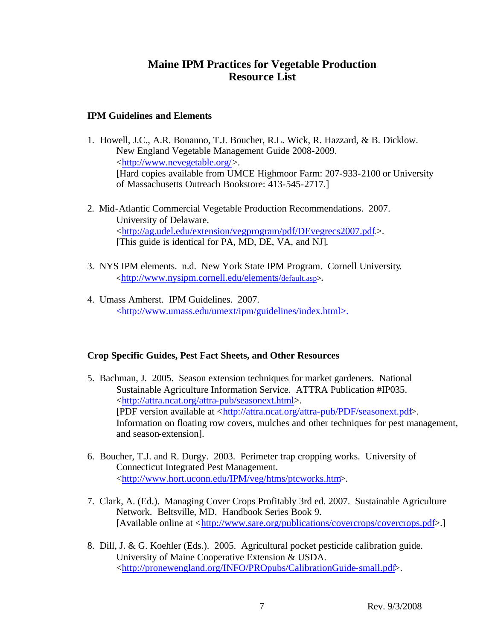## **Maine IPM Practices for Vegetable Production Resource List**

#### **IPM Guidelines and Elements**

- 1. Howell, J.C., A.R. Bonanno, T.J. Boucher, R.L. Wick, R. Hazzard, & B. Dicklow. New England Vegetable Management Guide 2008-2009. <http://www.nevegetable.org/>. [Hard copies available from UMCE Highmoor Farm: 207-933-2100 or University of Massachusetts Outreach Bookstore: 413-545-2717.]
- 2. Mid-Atlantic Commercial Vegetable Production Recommendations. 2007. University of Delaware. <http://ag.udel.edu/extension/vegprogram/pdf/DEvegrecs2007.pdf.>. [This guide is identical for PA, MD, DE, VA, and NJ]*.*
- 3. NYS IPM elements. n.d. New York State IPM Program. Cornell University**. <**http://www.nysipm.cornell.edu/elements/default.asp**>.**
- 4. Umass Amherst. IPM Guidelines. 2007. <http://www.umass.edu/umext/ipm/guidelines/index.html>.

### **Crop Specific Guides, Pest Fact Sheets, and Other Resources**

- 5. Bachman, J. 2005. Season extension techniques for market gardeners. National Sustainable Agriculture Information Service. ATTRA Publication #IP035. <http://attra.ncat.org/attra-pub/seasonext.html>. [PDF version available at <http://attra.ncat.org/attra-pub/PDF/seasonext.pdf>. Information on floating row covers, mulches and other techniques for pest management, and season-extension].
- 6. Boucher, T.J. and R. Durgy. 2003. Perimeter trap cropping works. University of Connecticut Integrated Pest Management. <http://www.hort.uconn.edu/IPM/veg/htms/ptcworks.htm>.
- 7. Clark, A. (Ed.). Managing Cover Crops Profitably 3rd ed. 2007. Sustainable Agriculture Network. Beltsville, MD. Handbook Series Book 9. [Available online at <http://www.sare.org/publications/covercrops/covercrops.pdf>.]
- 8. Dill, J. & G. Koehler (Eds.). 2005. Agricultural pocket pesticide calibration guide. University of Maine Cooperative Extension & USDA. <http://pronewengland.org/INFO/PROpubs/CalibrationGuide-small.pdf>.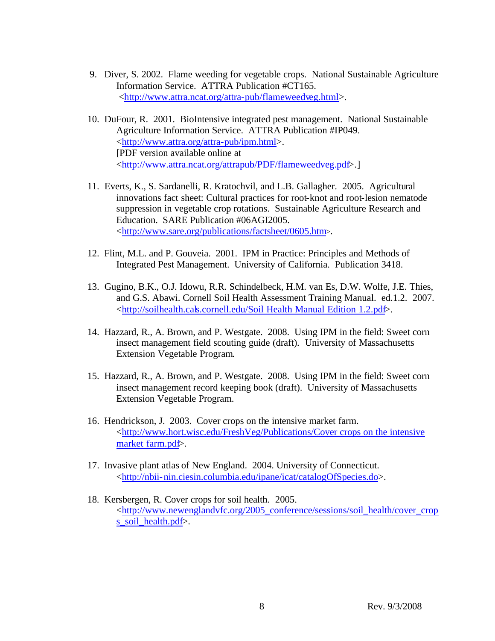- 9. Diver, S. 2002. Flame weeding for vegetable crops. National Sustainable Agriculture Information Service. ATTRA Publication #CT165. <http://www.attra.ncat.org/attra-pub/flameweedveg.html>.
- 10. DuFour, R. 2001. BioIntensive integrated pest management. National Sustainable Agriculture Information Service. ATTRA Publication #IP049. <http://www.attra.org/attra-pub/ipm.html>. [PDF version available online at <http://www.attra.ncat.org/attrapub/PDF/flameweedveg.pdf>.]
- 11. Everts, K., S. Sardanelli, R. Kratochvil, and L.B. Gallagher. 2005. Agricultural innovations fact sheet: Cultural practices for root-knot and root-lesion nematode suppression in vegetable crop rotations. Sustainable Agriculture Research and Education. SARE Publication #06AGI2005. <http://www.sare.org/publications/factsheet/0605.htm>.
- 12. Flint, M.L. and P. Gouveia. 2001. IPM in Practice: Principles and Methods of Integrated Pest Management. University of California. Publication 3418.
- 13. Gugino, B.K., O.J. Idowu, R.R. Schindelbeck, H.M. van Es, D.W. Wolfe, J.E. Thies, and G.S. Abawi. Cornell Soil Health Assessment Training Manual. ed.1.2. 2007. <http://soilhealth.cals.cornell.edu/Soil Health Manual Edition 1.2.pdf>.
- 14. Hazzard, R., A. Brown, and P. Westgate. 2008. Using IPM in the field: Sweet corn insect management field scouting guide (draft). University of Massachusetts Extension Vegetable Program.
- 15. Hazzard, R., A. Brown, and P. Westgate. 2008. Using IPM in the field: Sweet corn insect management record keeping book (draft). University of Massachusetts Extension Vegetable Program.
- 16. Hendrickson, J. 2003. Cover crops on the intensive market farm. <http://www.hort.wisc.edu/FreshVeg/Publications/Cover crops on the intensive market farm.pdf>.
- 17. Invasive plant atlas of New England. 2004. University of Connecticut. <http://nbii-nin.ciesin.columbia.edu/ipane/icat/catalogOfSpecies.do>.
- 18. Kersbergen, R. Cover crops for soil health. 2005. <http://www.newenglandvfc.org/2005\_conference/sessions/soil\_health/cover\_crop s soil health.pdf>.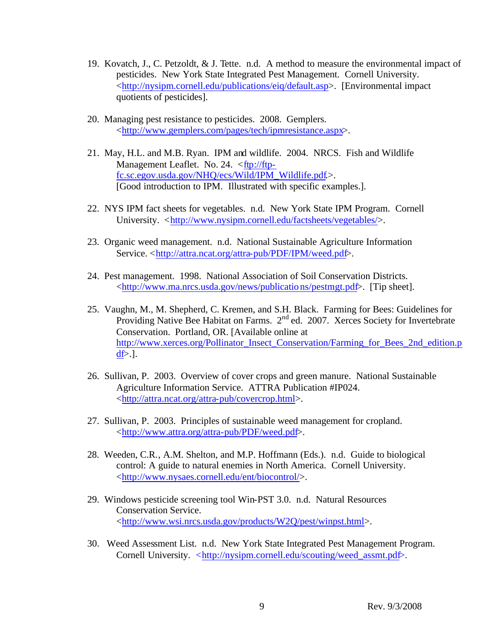- 19. Kovatch, J., C. Petzoldt, & J. Tette. n.d. A method to measure the environmental impact of pesticides. New York State Integrated Pest Management. Cornell University. <http://nysipm.cornell.edu/publications/eiq/default.asp>. [Environmental impact quotients of pesticides].
- 20. Managing pest resistance to pesticides. 2008. Gemplers. <http://www.gemplers.com/pages/tech/ipmresistance.aspx>.
- 21. May, H.L. and M.B. Ryan. IPM and wildlife. 2004. NRCS. Fish and Wildlife Management Leaflet. No. 24. <ftp://ftpfc.sc.egov.usda.gov/NHQ/ecs/Wild/IPM\_Wildlife.pdf.>. [Good introduction to IPM. Illustrated with specific examples.].
- 22. NYS IPM fact sheets for vegetables. n.d. New York State IPM Program. Cornell University. <http://www.nysipm.cornell.edu/factsheets/vegetables/>.
- 23. Organic weed management. n.d. National Sustainable Agriculture Information Service. <http://attra.ncat.org/attra-pub/PDF/IPM/weed.pdf>.
- 24. Pest management. 1998. National Association of Soil Conservation Districts. <http://www.ma.nrcs.usda.gov/news/publications/pestmgt.pdf>. [Tip sheet].
- 25. Vaughn, M., M. Shepherd, C. Kremen, and S.H. Black. Farming for Bees: Guidelines for Providing Native Bee Habitat on Farms. 2<sup>nd</sup> ed. 2007. Xerces Society for Invertebrate Conservation. Portland, OR. [Available online at http://www.xerces.org/Pollinator\_Insect\_Conservation/Farming\_for\_Bees\_2nd\_edition.p  $df$  $\geq$ .].
- 26. Sullivan, P. 2003. Overview of cover crops and green manure. National Sustainable Agriculture Information Service. ATTRA Publication #IP024. <http://attra.ncat.org/attra-pub/covercrop.html>.
- 27. Sullivan, P. 2003. Principles of sustainable weed management for cropland. <http://www.attra.org/attra-pub/PDF/weed.pdf>.
- 28. Weeden, C.R., A.M. Shelton, and M.P. Hoffmann (Eds.). n.d. Guide to biological control: A guide to natural enemies in North America. Cornell University. <http://www.nysaes.cornell.edu/ent/biocontrol/>.
- 29. Windows pesticide screening tool Win-PST 3.0. n.d. Natural Resources Conservation Service. <http://www.wsi.nrcs.usda.gov/products/W2Q/pest/winpst.html>.
- 30. Weed Assessment List. n.d. New York State Integrated Pest Management Program. Cornell University. <http://nysipm.cornell.edu/scouting/weed\_assmt.pdf>.